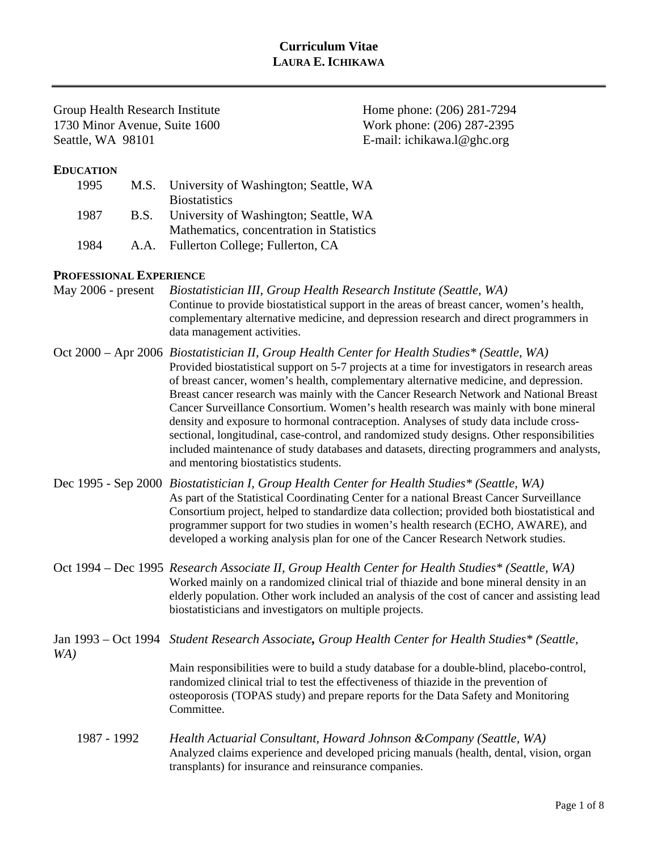# **Curriculum Vitae LAURA E. ICHIKAWA**

Group Health Research Institute Home phone: (206) 281-7294 1730 Minor Avenue, Suite 1600 Work phone: (206) 287-2395 Seattle, WA 98101 E-mail: ichikawa.l@ghc.org

## **EDUCATION**

| 1995 |             | M.S. University of Washington; Seattle, WA |
|------|-------------|--------------------------------------------|
|      |             | <b>Biostatistics</b>                       |
| 1987 | <b>B.S.</b> | University of Washington; Seattle, WA      |
|      |             | Mathematics, concentration in Statistics   |
| 1984 | A.A.        | Fullerton College; Fullerton, CA           |

#### **PROFESSIONAL EXPERIENCE**

| May 2006 - present | Biostatistician III, Group Health Research Institute (Seattle, WA)<br>Continue to provide biostatistical support in the areas of breast cancer, women's health,<br>complementary alternative medicine, and depression research and direct programmers in<br>data management activities.                                                                                                                                                                                                                                                                                                                                                                                                                                                                                                                 |
|--------------------|---------------------------------------------------------------------------------------------------------------------------------------------------------------------------------------------------------------------------------------------------------------------------------------------------------------------------------------------------------------------------------------------------------------------------------------------------------------------------------------------------------------------------------------------------------------------------------------------------------------------------------------------------------------------------------------------------------------------------------------------------------------------------------------------------------|
|                    | Oct 2000 – Apr 2006 Biostatistician II, Group Health Center for Health Studies* (Seattle, WA)<br>Provided biostatistical support on 5-7 projects at a time for investigators in research areas<br>of breast cancer, women's health, complementary alternative medicine, and depression.<br>Breast cancer research was mainly with the Cancer Research Network and National Breast<br>Cancer Surveillance Consortium. Women's health research was mainly with bone mineral<br>density and exposure to hormonal contraception. Analyses of study data include cross-<br>sectional, longitudinal, case-control, and randomized study designs. Other responsibilities<br>included maintenance of study databases and datasets, directing programmers and analysts,<br>and mentoring biostatistics students. |

- Dec 1995 Sep 2000 *Biostatistician I, Group Health Center for Health Studies\* (Seattle, WA)* As part of the Statistical Coordinating Center for a national Breast Cancer Surveillance Consortium project, helped to standardize data collection; provided both biostatistical and programmer support for two studies in women's health research (ECHO, AWARE), and developed a working analysis plan for one of the Cancer Research Network studies.
- Oct 1994 Dec 1995 *Research Associate II, Group Health Center for Health Studies\* (Seattle, WA)* Worked mainly on a randomized clinical trial of thiazide and bone mineral density in an elderly population. Other work included an analysis of the cost of cancer and assisting lead biostatisticians and investigators on multiple projects.
- Jan 1993 Oct 1994 *Student Research Associate, Group Health Center for Health Studies\* (Seattle, WA)* Main responsibilities were to build a study database for a double-blind, placebo-control, randomized clinical trial to test the effectiveness of thiazide in the prevention of osteoporosis (TOPAS study) and prepare reports for the Data Safety and Monitoring Committee.
	- 1987 1992 *Health Actuarial Consultant, Howard Johnson &Company (Seattle, WA)* Analyzed claims experience and developed pricing manuals (health, dental, vision, organ transplants) for insurance and reinsurance companies.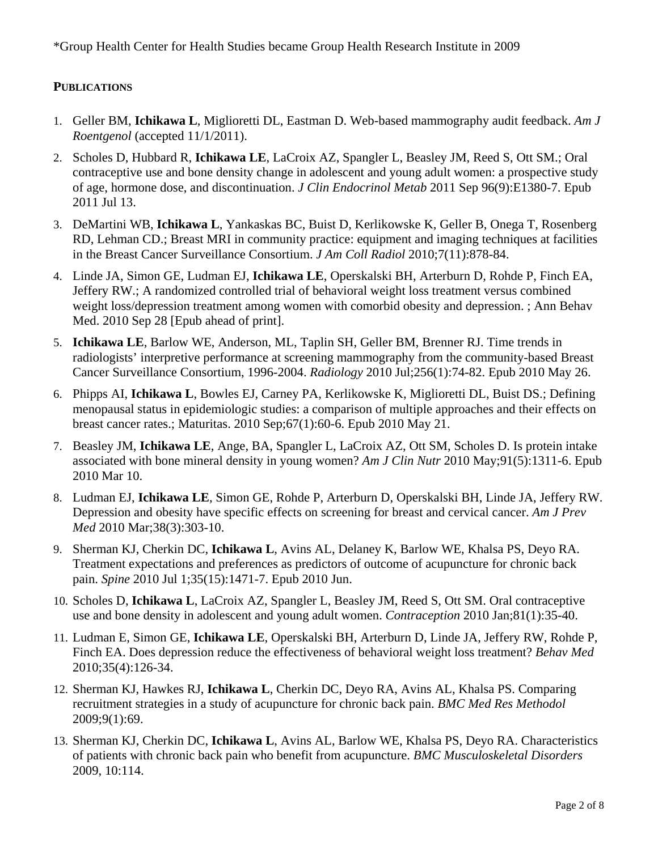\*Group Health Center for Health Studies became Group Health Research Institute in 2009

## **PUBLICATIONS**

- 1. Geller BM, **Ichikawa L**, Miglioretti DL, Eastman D. Web-based mammography audit feedback. *Am J Roentgenol* (accepted 11/1/2011).
- 2. Scholes D, Hubbard R, **Ichikawa LE**, LaCroix AZ, Spangler L, Beasley JM, Reed S, Ott SM.; Oral contraceptive use and bone density change in adolescent and young adult women: a prospective study of age, hormone dose, and discontinuation. *J Clin Endocrinol Metab* 2011 Sep 96(9):E1380-7. Epub 2011 Jul 13.
- 3. DeMartini WB, **Ichikawa L**, Yankaskas BC, Buist D, Kerlikowske K, Geller B, Onega T, Rosenberg RD, Lehman CD.; Breast MRI in community practice: equipment and imaging techniques at facilities in the Breast Cancer Surveillance Consortium. *J Am Coll Radiol* 2010;7(11):878-84.
- 4. Linde JA, Simon GE, Ludman EJ, **Ichikawa LE**, Operskalski BH, Arterburn D, Rohde P, Finch EA, Jeffery RW.; A randomized controlled trial of behavioral weight loss treatment versus combined weight loss/depression treatment among women with comorbid obesity and depression. ; Ann Behav Med. 2010 Sep 28 [Epub ahead of print].
- 5. **Ichikawa LE**, Barlow WE, Anderson, ML, Taplin SH, Geller BM, Brenner RJ. Time trends in radiologists' interpretive performance at screening mammography from the community-based Breast Cancer Surveillance Consortium, 1996-2004. *Radiology* 2010 Jul;256(1):74-82. Epub 2010 May 26.
- 6. Phipps AI, **Ichikawa L**, Bowles EJ, Carney PA, Kerlikowske K, Miglioretti DL, Buist DS.; Defining menopausal status in epidemiologic studies: a comparison of multiple approaches and their effects on breast cancer rates.; Maturitas. 2010 Sep;67(1):60-6. Epub 2010 May 21.
- 7. Beasley JM, **Ichikawa LE**, Ange, BA, Spangler L, LaCroix AZ, Ott SM, Scholes D. Is protein intake associated with bone mineral density in young women? *Am J Clin Nutr* 2010 May;91(5):1311-6. Epub 2010 Mar 10.
- 8. Ludman EJ, **Ichikawa LE**, Simon GE, Rohde P, Arterburn D, Operskalski BH, Linde JA, Jeffery RW. Depression and obesity have specific effects on screening for breast and cervical cancer. *Am J Prev Med* 2010 Mar;38(3):303-10.
- 9. Sherman KJ, Cherkin DC, **Ichikawa L**, Avins AL, Delaney K, Barlow WE, Khalsa PS, Deyo RA. Treatment expectations and preferences as predictors of outcome of acupuncture for chronic back pain. *Spine* 2010 Jul 1;35(15):1471-7. Epub 2010 Jun.
- 10. Scholes D, **Ichikawa L**, LaCroix AZ, Spangler L, Beasley JM, Reed S, Ott SM. Oral contraceptive use and bone density in adolescent and young adult women. *Contraception* 2010 Jan;81(1):35-40.
- 11. Ludman E, Simon GE, **Ichikawa LE**, Operskalski BH, Arterburn D, Linde JA, Jeffery RW, Rohde P, Finch EA. Does depression reduce the effectiveness of behavioral weight loss treatment? *Behav Med* 2010;35(4):126-34.
- 12. Sherman KJ, Hawkes RJ, **Ichikawa L**, Cherkin DC, Deyo RA, Avins AL, Khalsa PS. Comparing recruitment strategies in a study of acupuncture for chronic back pain. *BMC Med Res Methodol* 2009;9(1):69.
- 13. Sherman KJ, Cherkin DC, **Ichikawa L**, Avins AL, Barlow WE, Khalsa PS, Deyo RA. Characteristics of patients with chronic back pain who benefit from acupuncture. *BMC Musculoskeletal Disorders* 2009, 10:114.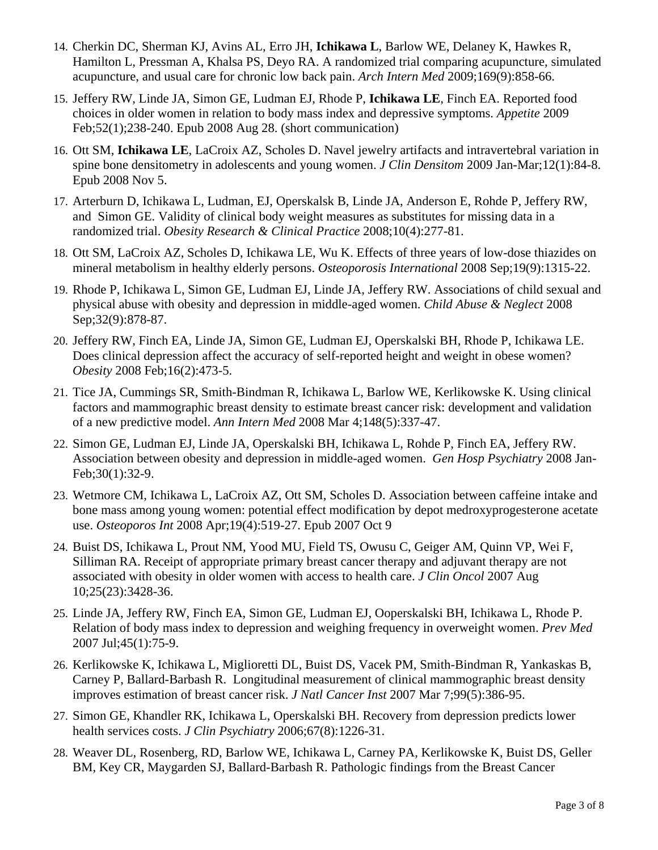- 14. Cherkin DC, Sherman KJ, Avins AL, Erro JH, **Ichikawa L**, Barlow WE, Delaney K, Hawkes R, Hamilton L, Pressman A, Khalsa PS, Deyo RA. A randomized trial comparing acupuncture, simulated acupuncture, and usual care for chronic low back pain. *Arch Intern Med* 2009;169(9):858-66.
- 15. Jeffery RW, Linde JA, Simon GE, Ludman EJ, Rhode P, **Ichikawa LE**, Finch EA. Reported food choices in older women in relation to body mass index and depressive symptoms. *Appetite* 2009 Feb;52(1);238-240. Epub 2008 Aug 28. (short communication)
- 16. Ott SM, **Ichikawa LE**, LaCroix AZ, Scholes D. Navel jewelry artifacts and intravertebral variation in spine bone densitometry in adolescents and young women. *J Clin Densitom* 2009 Jan-Mar;12(1):84-8. Epub 2008 Nov 5.
- 17. Arterburn D, Ichikawa L, Ludman, EJ, Operskalsk B, Linde JA, Anderson E, Rohde P, Jeffery RW, and Simon GE. Validity of clinical body weight measures as substitutes for missing data in a randomized trial. *Obesity Research & Clinical Practice* 2008;10(4):277-81.
- 18. Ott SM, LaCroix AZ, Scholes D, Ichikawa LE, Wu K. Effects of three years of low-dose thiazides on mineral metabolism in healthy elderly persons. *Osteoporosis International* 2008 Sep;19(9):1315-22.
- 19. Rhode P, Ichikawa L, Simon GE, Ludman EJ, Linde JA, Jeffery RW. Associations of child sexual and physical abuse with obesity and depression in middle-aged women. *Child Abuse & Neglect* 2008 Sep; 32(9): 878-87.
- 20. Jeffery RW, Finch EA, Linde JA, Simon GE, Ludman EJ, Operskalski BH, Rhode P, Ichikawa LE. Does clinical depression affect the accuracy of self-reported height and weight in obese women? *Obesity* 2008 Feb;16(2):473-5.
- 21. Tice JA, Cummings SR, Smith-Bindman R, Ichikawa L, Barlow WE, Kerlikowske K. [Using clinical](http://www.ncbi.nlm.nih.gov/pubmed/18316752?ordinalpos=1&itool=EntrezSystem2.PEntrez.Pubmed.Pubmed_ResultsPanel.Pubmed_RVDocSum)  [factors and mammographic breast density to estimate breast cancer risk: development and validation](http://www.ncbi.nlm.nih.gov/pubmed/18316752?ordinalpos=1&itool=EntrezSystem2.PEntrez.Pubmed.Pubmed_ResultsPanel.Pubmed_RVDocSum)  [of a new predictive model.](http://www.ncbi.nlm.nih.gov/pubmed/18316752?ordinalpos=1&itool=EntrezSystem2.PEntrez.Pubmed.Pubmed_ResultsPanel.Pubmed_RVDocSum) *Ann Intern Med* 2008 Mar 4;148(5):337-47.
- 22. Simon GE, Ludman EJ, Linde JA, Operskalski BH, Ichikawa L, Rohde P, Finch EA, Jeffery RW. Association between obesity and depression in middle-aged women. *Gen Hosp Psychiatry* 2008 Jan-Feb;30(1):32-9.
- 23. Wetmore CM, Ichikawa L, LaCroix AZ, Ott SM, Scholes D. Association between caffeine intake and bone mass among young women: potential effect modification by depot medroxyprogesterone acetate use. *Osteoporos Int* 2008 Apr;19(4):519-27. Epub 2007 Oct 9
- 24. Buist DS, Ichikawa L, Prout NM, Yood MU, Field TS, Owusu C, Geiger AM, Quinn VP, Wei F, Silliman RA. Receipt of appropriate primary breast cancer therapy and adjuvant therapy are not associated with obesity in older women with access to health care. *J Clin Oncol* 2007 Aug 10;25(23):3428-36.
- 25. Linde JA, Jeffery RW, Finch EA, Simon GE, Ludman EJ, Ooperskalski BH, Ichikawa L, Rhode P. Relation of body mass index to depression and weighing frequency in overweight women. *Prev Med* 2007 Jul;45(1):75-9.
- 26. Kerlikowske K, Ichikawa L, Miglioretti DL, Buist DS, Vacek PM, Smith-Bindman R, Yankaskas B, Carney P, Ballard-Barbash R. Longitudinal measurement of clinical mammographic breast density improves estimation of breast cancer risk. *J Natl Cancer Inst* 2007 Mar 7;99(5):386-95.
- 27. Simon GE, Khandler RK, Ichikawa L, Operskalski BH. Recovery from depression predicts lower health services costs. *J Clin Psychiatry* 2006;67(8):1226-31.
- 28. Weaver DL, Rosenberg, RD, Barlow WE, Ichikawa L, Carney PA, Kerlikowske K, Buist DS, Geller BM, Key CR, Maygarden SJ, Ballard-Barbash R. Pathologic findings from the Breast Cancer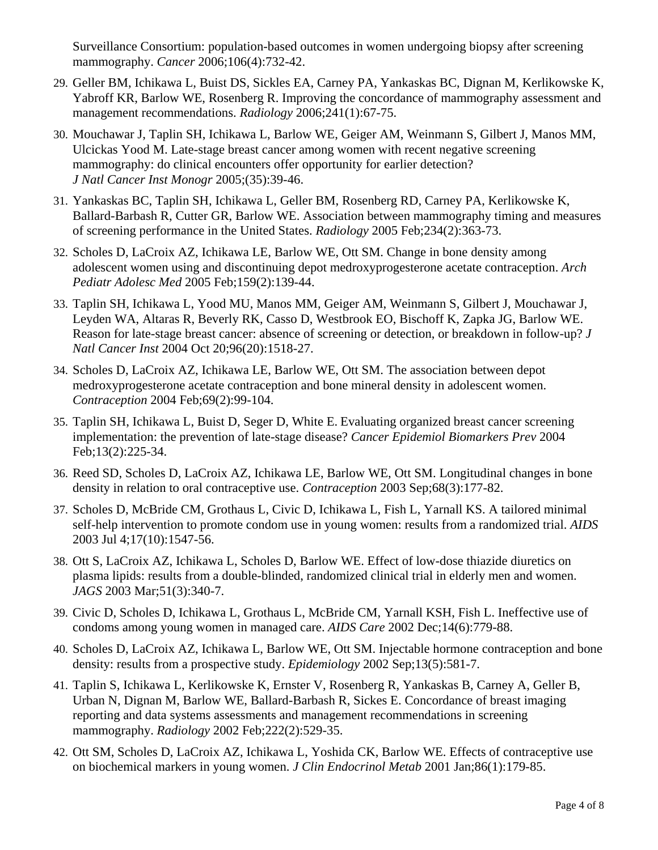Surveillance Consortium: population-based outcomes in women undergoing biopsy after screening mammography. *Cancer* 2006;106(4):732-42.

- 29. Geller BM, Ichikawa L, Buist DS, Sickles EA, Carney PA, Yankaskas BC, Dignan M, Kerlikowske K, Yabroff KR, Barlow WE, Rosenberg R. Improving the concordance of mammography assessment and management recommendations. *Radiology* 2006;241(1):67-75.
- 30. Mouchawar J, Taplin SH, Ichikawa L, Barlow WE, Geiger AM, Weinmann S, Gilbert J, Manos MM, Ulcickas Yood M. Late-stage breast cancer among women with recent negative screening mammography: do clinical encounters offer opportunity for earlier detection? *J Natl Cancer Inst Monogr* 2005;(35):39-46.
- 31. Yankaskas BC, Taplin SH, Ichikawa L, Geller BM, Rosenberg RD, Carney PA, Kerlikowske K, Ballard-Barbash R, Cutter GR, Barlow WE. Association between mammography timing and measures of screening performance in the United States. *Radiology* 2005 Feb;234(2):363-73.
- 32. Scholes D, LaCroix AZ, Ichikawa LE, Barlow WE, Ott SM. Change in bone density among adolescent women using and discontinuing depot medroxyprogesterone acetate contraception. *Arch Pediatr Adolesc Med* 2005 Feb;159(2):139-44.
- 33. Taplin SH, Ichikawa L, Yood MU, Manos MM, Geiger AM, Weinmann S, Gilbert J, Mouchawar J, Leyden WA, Altaras R, Beverly RK, Casso D, Westbrook EO, Bischoff K, Zapka JG, Barlow WE. Reason for late-stage breast cancer: absence of screening or detection, or breakdown in follow-up? *J Natl Cancer Inst* 2004 Oct 20;96(20):1518-27.
- 34. Scholes D, LaCroix AZ, Ichikawa LE, Barlow WE, Ott SM. The association between depot medroxyprogesterone acetate contraception and bone mineral density in adolescent women. *Contraception* 2004 Feb;69(2):99-104.
- 35. Taplin SH, Ichikawa L, Buist D, Seger D, White E. Evaluating organized breast cancer screening implementation: the prevention of late-stage disease? *Cancer Epidemiol Biomarkers Prev* 2004 Feb;13(2):225-34.
- 36. Reed SD, Scholes D, LaCroix AZ, Ichikawa LE, Barlow WE, Ott SM. Longitudinal changes in bone density in relation to oral contraceptive use. *Contraception* 2003 Sep;68(3):177-82.
- 37. Scholes D, McBride CM, Grothaus L, Civic D, Ichikawa L, Fish L, Yarnall KS. A tailored minimal self-help intervention to promote condom use in young women: results from a randomized trial. *AIDS* 2003 Jul 4;17(10):1547-56.
- 38. Ott S, LaCroix AZ, Ichikawa L, Scholes D, Barlow WE. Effect of low-dose thiazide diuretics on plasma lipids: results from a double-blinded, randomized clinical trial in elderly men and women. *JAGS* 2003 Mar;51(3):340-7.
- 39. Civic D, Scholes D, Ichikawa L, Grothaus L, McBride CM, Yarnall KSH, Fish L. Ineffective use of condoms among young women in managed care. *AIDS Care* 2002 Dec;14(6):779-88.
- 40. Scholes D, LaCroix AZ, Ichikawa L, Barlow WE, Ott SM. Injectable hormone contraception and bone density: results from a prospective study. *Epidemiology* 2002 Sep;13(5):581-7.
- 41. Taplin S, Ichikawa L, Kerlikowske K, Ernster V, Rosenberg R, Yankaskas B, Carney A, Geller B, Urban N, Dignan M, Barlow WE, Ballard-Barbash R, Sickes E. Concordance of breast imaging reporting and data systems assessments and management recommendations in screening mammography. *Radiology* 2002 Feb;222(2):529-35.
- 42. Ott SM, Scholes D, LaCroix AZ, Ichikawa L, Yoshida CK, Barlow WE. Effects of contraceptive use on biochemical markers in young women. *J Clin Endocrinol Metab* 2001 Jan;86(1):179-85.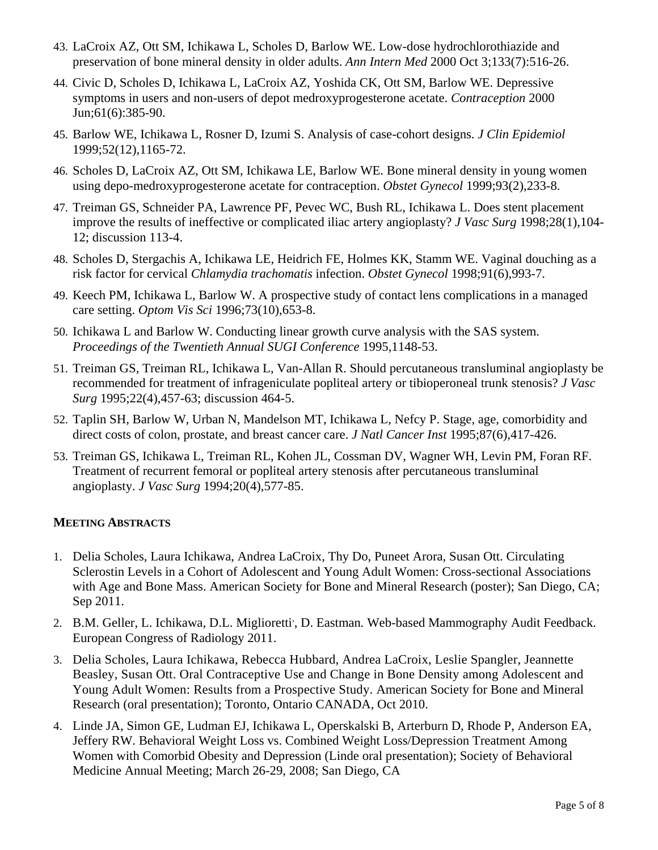- 43. LaCroix AZ, Ott SM, Ichikawa L, Scholes D, Barlow WE. Low-dose hydrochlorothiazide and preservation of bone mineral density in older adults. *Ann Intern Med* 2000 Oct 3;133(7):516-26.
- 44. Civic D, Scholes D, Ichikawa L, LaCroix AZ, Yoshida CK, Ott SM, Barlow WE. Depressive symptoms in users and non-users of depot medroxyprogesterone acetate. *Contraception* 2000 Jun;61(6):385-90.
- 45. Barlow WE, Ichikawa L, Rosner D, Izumi S. Analysis of case-cohort designs. *J Clin Epidemiol* 1999;52(12),1165-72.
- 46. Scholes D, LaCroix AZ, Ott SM, Ichikawa LE, Barlow WE. Bone mineral density in young women using depo-medroxyprogesterone acetate for contraception. *Obstet Gynecol* 1999;93(2),233-8.
- 47. Treiman GS, Schneider PA, Lawrence PF, Pevec WC, Bush RL, Ichikawa L. Does stent placement improve the results of ineffective or complicated iliac artery angioplasty? *J Vasc Surg* 1998;28(1),104- 12; discussion 113-4.
- 48. Scholes D, Stergachis A, Ichikawa LE, Heidrich FE, Holmes KK, Stamm WE. Vaginal douching as a risk factor for cervical *Chlamydia trachomatis* infection. *Obstet Gynecol* 1998;91(6),993-7.
- 49. Keech PM, Ichikawa L, Barlow W. A prospective study of contact lens complications in a managed care setting. *Optom Vis Sci* 1996;73(10),653-8.
- 50. Ichikawa L and Barlow W. Conducting linear growth curve analysis with the SAS system. *Proceedings of the Twentieth Annual SUGI Conference* 1995,1148-53.
- 51. Treiman GS, Treiman RL, Ichikawa L, Van-Allan R. Should percutaneous transluminal angioplasty be recommended for treatment of infrageniculate popliteal artery or tibioperoneal trunk stenosis? *J Vasc Surg* 1995;22(4),457-63; discussion 464-5.
- 52. Taplin SH, Barlow W, Urban N, Mandelson MT, Ichikawa L, Nefcy P. Stage, age, comorbidity and direct costs of colon, prostate, and breast cancer care. *J Natl Cancer Inst* 1995;87(6),417-426.
- 53. Treiman GS, Ichikawa L, Treiman RL, Kohen JL, Cossman DV, Wagner WH, Levin PM, Foran RF. Treatment of recurrent femoral or popliteal artery stenosis after percutaneous transluminal angioplasty. *J Vasc Surg* 1994;20(4),577-85.

## **MEETING ABSTRACTS**

- 1. Delia Scholes, Laura Ichikawa, Andrea LaCroix, Thy Do, Puneet Arora, Susan Ott. Circulating Sclerostin Levels in a Cohort of Adolescent and Young Adult Women: Cross-sectional Associations with Age and Bone Mass. American Society for Bone and Mineral Research (poster); San Diego, CA; Sep 2011.
- 2. B.M. Geller, L. Ichikawa, D.L. Miglioretti<sup>,</sup>, D. Eastman. Web-based Mammography Audit Feedback. European Congress of Radiology 2011.
- 3. Delia Scholes, Laura Ichikawa, Rebecca Hubbard, Andrea LaCroix, Leslie Spangler, Jeannette Beasley, Susan Ott. Oral Contraceptive Use and Change in Bone Density among Adolescent and Young Adult Women: Results from a Prospective Study. American Society for Bone and Mineral Research (oral presentation); Toronto, Ontario CANADA, Oct 2010.
- 4. Linde JA, Simon GE, Ludman EJ, Ichikawa L, Operskalski B, Arterburn D, Rhode P, Anderson EA, Jeffery RW. Behavioral Weight Loss vs. Combined Weight Loss/Depression Treatment Among Women with Comorbid Obesity and Depression (Linde oral presentation); Society of Behavioral Medicine Annual Meeting; March 26-29, 2008; San Diego, CA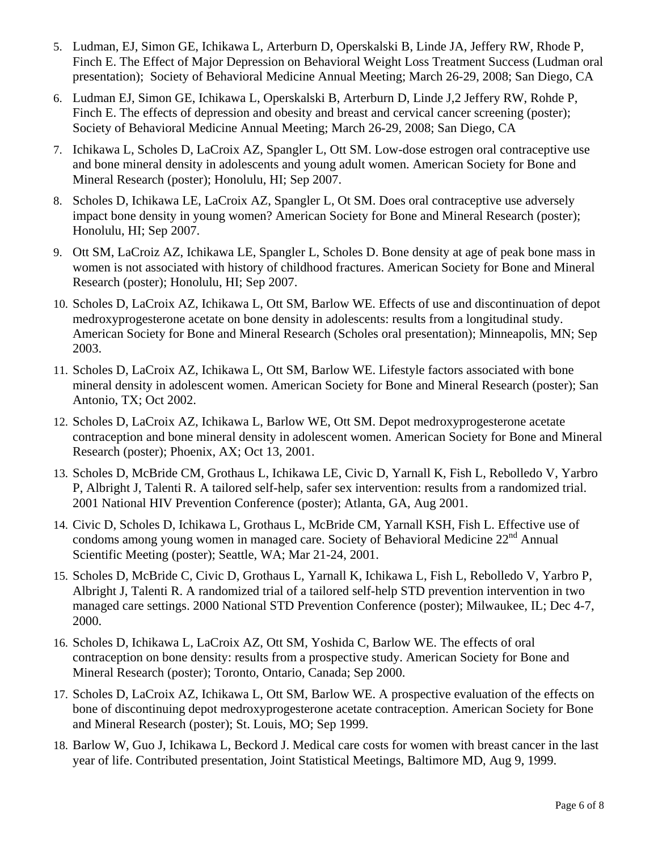- 5. Ludman, EJ, Simon GE, Ichikawa L, Arterburn D, Operskalski B, Linde JA, Jeffery RW, Rhode P, Finch E. The Effect of Major Depression on Behavioral Weight Loss Treatment Success (Ludman oral presentation); Society of Behavioral Medicine Annual Meeting; March 26-29, 2008; San Diego, CA
- 6. Ludman EJ, Simon GE, Ichikawa L, Operskalski B, Arterburn D, Linde J,2 Jeffery RW, Rohde P, Finch E. The effects of depression and obesity and breast and cervical cancer screening (poster); Society of Behavioral Medicine Annual Meeting; March 26-29, 2008; San Diego, CA
- 7. Ichikawa L, Scholes D, LaCroix AZ, Spangler L, Ott SM. Low-dose estrogen oral contraceptive use and bone mineral density in adolescents and young adult women. American Society for Bone and Mineral Research (poster); Honolulu, HI; Sep 2007.
- 8. Scholes D, Ichikawa LE, LaCroix AZ, Spangler L, Ot SM. Does oral contraceptive use adversely impact bone density in young women? American Society for Bone and Mineral Research (poster); Honolulu, HI; Sep 2007.
- 9. Ott SM, LaCroiz AZ, Ichikawa LE, Spangler L, Scholes D. Bone density at age of peak bone mass in women is not associated with history of childhood fractures. American Society for Bone and Mineral Research (poster); Honolulu, HI; Sep 2007.
- 10. Scholes D, LaCroix AZ, Ichikawa L, Ott SM, Barlow WE. Effects of use and discontinuation of depot medroxyprogesterone acetate on bone density in adolescents: results from a longitudinal study. American Society for Bone and Mineral Research (Scholes oral presentation); Minneapolis, MN; Sep 2003.
- 11. Scholes D, LaCroix AZ, Ichikawa L, Ott SM, Barlow WE. Lifestyle factors associated with bone mineral density in adolescent women. American Society for Bone and Mineral Research (poster); San Antonio, TX; Oct 2002.
- 12. Scholes D, LaCroix AZ, Ichikawa L, Barlow WE, Ott SM. Depot medroxyprogesterone acetate contraception and bone mineral density in adolescent women. American Society for Bone and Mineral Research (poster); Phoenix, AX; Oct 13, 2001.
- 13. Scholes D, McBride CM, Grothaus L, Ichikawa LE, Civic D, Yarnall K, Fish L, Rebolledo V, Yarbro P, Albright J, Talenti R. A tailored self-help, safer sex intervention: results from a randomized trial. 2001 National HIV Prevention Conference (poster); Atlanta, GA, Aug 2001.
- 14. Civic D, Scholes D, Ichikawa L, Grothaus L, McBride CM, Yarnall KSH, Fish L. Effective use of condoms among young women in managed care. Society of Behavioral Medicine 22<sup>nd</sup> Annual Scientific Meeting (poster); Seattle, WA; Mar 21-24, 2001.
- 15. Scholes D, McBride C, Civic D, Grothaus L, Yarnall K, Ichikawa L, Fish L, Rebolledo V, Yarbro P, Albright J, Talenti R. A randomized trial of a tailored self-help STD prevention intervention in two managed care settings. 2000 National STD Prevention Conference (poster); Milwaukee, IL; Dec 4-7, 2000.
- 16. Scholes D, Ichikawa L, LaCroix AZ, Ott SM, Yoshida C, Barlow WE. The effects of oral contraception on bone density: results from a prospective study. American Society for Bone and Mineral Research (poster); Toronto, Ontario, Canada; Sep 2000.
- 17. Scholes D, LaCroix AZ, Ichikawa L, Ott SM, Barlow WE. A prospective evaluation of the effects on bone of discontinuing depot medroxyprogesterone acetate contraception. American Society for Bone and Mineral Research (poster); St. Louis, MO; Sep 1999.
- 18. Barlow W, Guo J, Ichikawa L, Beckord J. Medical care costs for women with breast cancer in the last year of life. Contributed presentation, Joint Statistical Meetings, Baltimore MD, Aug 9, 1999.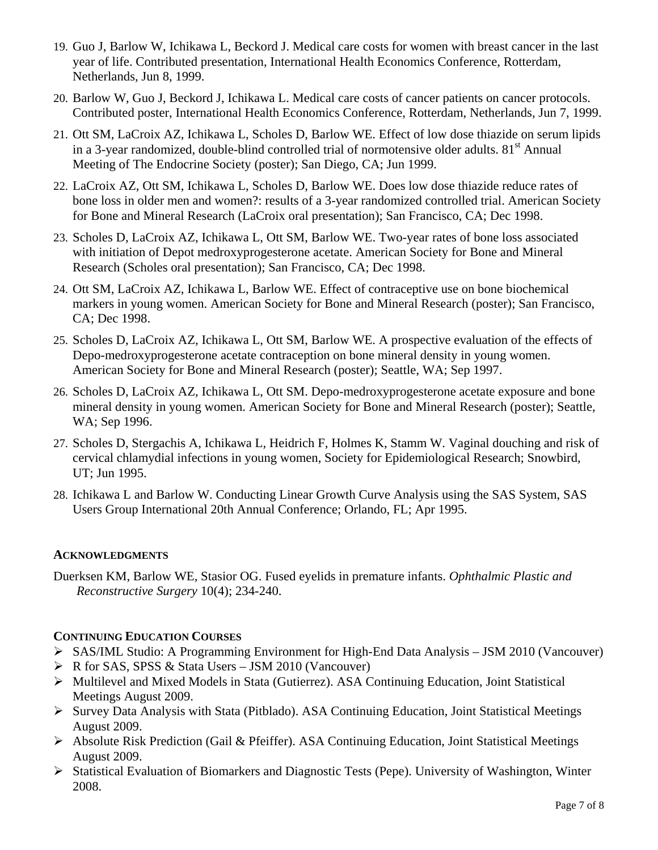- 19. Guo J, Barlow W, Ichikawa L, Beckord J. Medical care costs for women with breast cancer in the last year of life. Contributed presentation, International Health Economics Conference, Rotterdam, Netherlands, Jun 8, 1999.
- 20. Barlow W, Guo J, Beckord J, Ichikawa L. Medical care costs of cancer patients on cancer protocols. Contributed poster, International Health Economics Conference, Rotterdam, Netherlands, Jun 7, 1999.
- 21. Ott SM, LaCroix AZ, Ichikawa L, Scholes D, Barlow WE. Effect of low dose thiazide on serum lipids in a 3-year randomized, double-blind controlled trial of normotensive older adults.  $81<sup>st</sup>$  Annual Meeting of The Endocrine Society (poster); San Diego, CA; Jun 1999.
- 22. LaCroix AZ, Ott SM, Ichikawa L, Scholes D, Barlow WE. Does low dose thiazide reduce rates of bone loss in older men and women?: results of a 3-year randomized controlled trial. American Society for Bone and Mineral Research (LaCroix oral presentation); San Francisco, CA; Dec 1998.
- 23. Scholes D, LaCroix AZ, Ichikawa L, Ott SM, Barlow WE. Two-year rates of bone loss associated with initiation of Depot medroxyprogesterone acetate. American Society for Bone and Mineral Research (Scholes oral presentation); San Francisco, CA; Dec 1998.
- 24. Ott SM, LaCroix AZ, Ichikawa L, Barlow WE. Effect of contraceptive use on bone biochemical markers in young women. American Society for Bone and Mineral Research (poster); San Francisco, CA; Dec 1998.
- 25. Scholes D, LaCroix AZ, Ichikawa L, Ott SM, Barlow WE. A prospective evaluation of the effects of Depo-medroxyprogesterone acetate contraception on bone mineral density in young women. American Society for Bone and Mineral Research (poster); Seattle, WA; Sep 1997.
- 26. Scholes D, LaCroix AZ, Ichikawa L, Ott SM. Depo-medroxyprogesterone acetate exposure and bone mineral density in young women. American Society for Bone and Mineral Research (poster); Seattle, WA; Sep 1996.
- 27. Scholes D, Stergachis A, Ichikawa L, Heidrich F, Holmes K, Stamm W. Vaginal douching and risk of cervical chlamydial infections in young women, Society for Epidemiological Research; Snowbird, UT; Jun 1995.
- 28. Ichikawa L and Barlow W. Conducting Linear Growth Curve Analysis using the SAS System, SAS Users Group International 20th Annual Conference; Orlando, FL; Apr 1995.

## **ACKNOWLEDGMENTS**

Duerksen KM, Barlow WE, Stasior OG. Fused eyelids in premature infants. *Ophthalmic Plastic and Reconstructive Surgery* 10(4); 234-240.

## **CONTINUING EDUCATION COURSES**

- ¾ SAS/IML Studio: A Programming Environment for High-End Data Analysis JSM 2010 (Vancouver)
- $\triangleright$  R for SAS, SPSS & Stata Users JSM 2010 (Vancouver)
- ¾ Multilevel and Mixed Models in Stata (Gutierrez). ASA Continuing Education, Joint Statistical Meetings August 2009.
- ¾ Survey Data Analysis with Stata (Pitblado). ASA Continuing Education, Joint Statistical Meetings August 2009.
- ¾ Absolute Risk Prediction (Gail & Pfeiffer). ASA Continuing Education, Joint Statistical Meetings August 2009.
- ¾ Statistical Evaluation of Biomarkers and Diagnostic Tests (Pepe). University of Washington, Winter 2008.